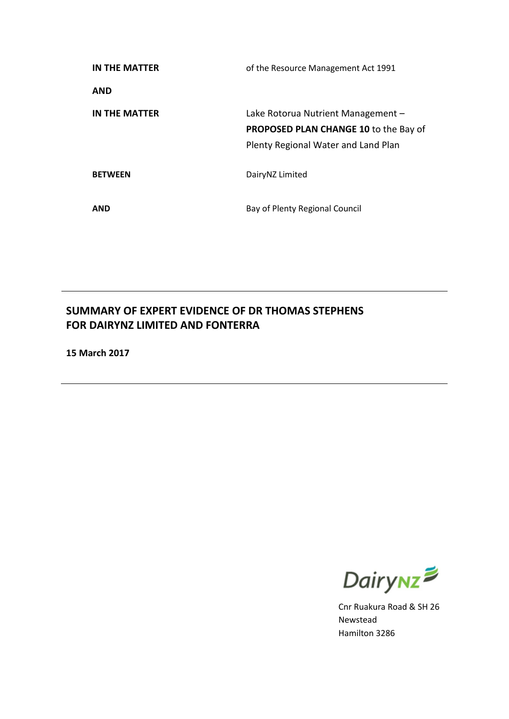| IN THE MATTER        | of the Resource Management Act 1991                                                                                       |
|----------------------|---------------------------------------------------------------------------------------------------------------------------|
| <b>AND</b>           |                                                                                                                           |
| <b>IN THE MATTER</b> | Lake Rotorua Nutrient Management -<br><b>PROPOSED PLAN CHANGE 10 to the Bay of</b><br>Plenty Regional Water and Land Plan |
| <b>BETWEEN</b>       | DairyNZ Limited                                                                                                           |
| <b>AND</b>           | Bay of Plenty Regional Council                                                                                            |

# **SUMMARY OF EXPERT EVIDENCE OF DR THOMAS STEPHENS FOR DAIRYNZ LIMITED AND FONTERRA**

**15 March 2017**



Cnr Ruakura Road & SH 26 Newstead Hamilton 3286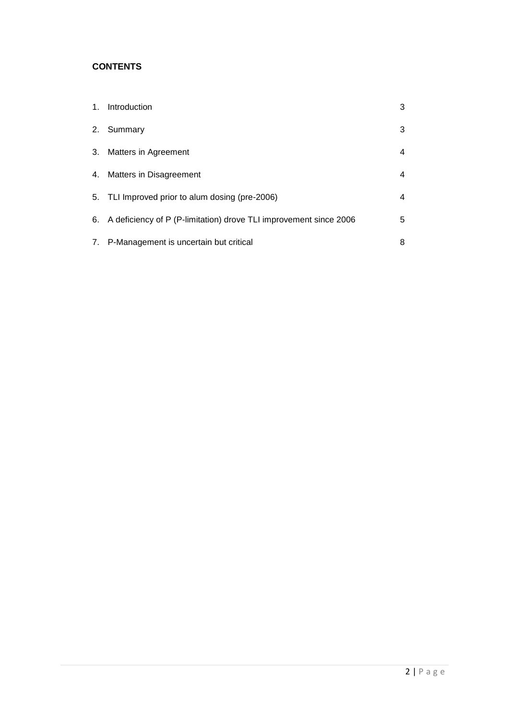# **CONTENTS**

|    | 1. Introduction                                                      | 3 |
|----|----------------------------------------------------------------------|---|
|    | 2. Summary                                                           | 3 |
| 3. | Matters in Agreement                                                 | 4 |
|    | 4. Matters in Disagreement                                           | 4 |
|    | 5. TLI Improved prior to alum dosing (pre-2006)                      | 4 |
|    | 6. A deficiency of P (P-limitation) drove TLI improvement since 2006 | 5 |
|    | 7. P-Management is uncertain but critical                            | 8 |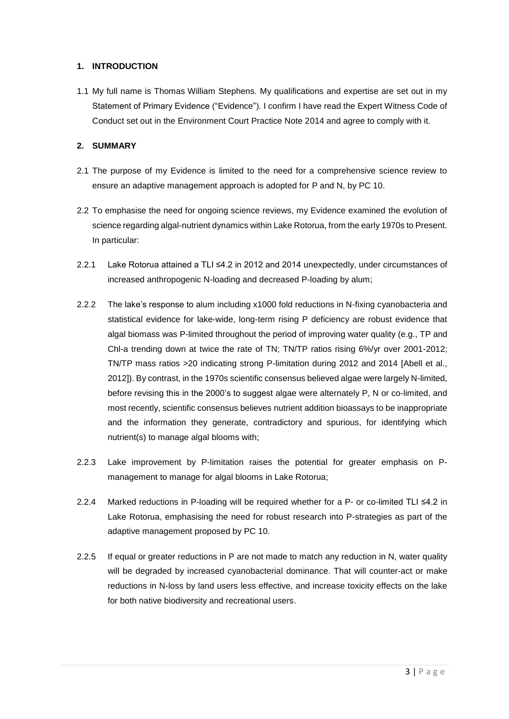## **1. INTRODUCTION**

1.1 My full name is Thomas William Stephens. My qualifications and expertise are set out in my Statement of Primary Evidence ("Evidence"). I confirm I have read the Expert Witness Code of Conduct set out in the Environment Court Practice Note 2014 and agree to comply with it.

# **2. SUMMARY**

- 2.1 The purpose of my Evidence is limited to the need for a comprehensive science review to ensure an adaptive management approach is adopted for P and N, by PC 10.
- 2.2 To emphasise the need for ongoing science reviews, my Evidence examined the evolution of science regarding algal-nutrient dynamics within Lake Rotorua, from the early 1970s to Present. In particular:
- 2.2.1 Lake Rotorua attained a TLI ≤4.2 in 2012 and 2014 unexpectedly, under circumstances of increased anthropogenic N-loading and decreased P-loading by alum;
- 2.2.2 The lake's response to alum including x1000 fold reductions in N-fixing cyanobacteria and statistical evidence for lake-wide, long-term rising P deficiency are robust evidence that algal biomass was P-limited throughout the period of improving water quality (e.g., TP and Chl-a trending down at twice the rate of TN; TN/TP ratios rising 6%/yr over 2001-2012; TN/TP mass ratios >20 indicating strong P-limitation during 2012 and 2014 [Abell et al., 2012]). By contrast, in the 1970s scientific consensus believed algae were largely N-limited, before revising this in the 2000's to suggest algae were alternately P, N or co-limited, and most recently, scientific consensus believes nutrient addition bioassays to be inappropriate and the information they generate, contradictory and spurious, for identifying which nutrient(s) to manage algal blooms with;
- 2.2.3 Lake improvement by P-limitation raises the potential for greater emphasis on Pmanagement to manage for algal blooms in Lake Rotorua;
- 2.2.4 Marked reductions in P-loading will be required whether for a P- or co-limited TLI ≤4.2 in Lake Rotorua, emphasising the need for robust research into P-strategies as part of the adaptive management proposed by PC 10.
- 2.2.5 If equal or greater reductions in P are not made to match any reduction in N, water quality will be degraded by increased cyanobacterial dominance. That will counter-act or make reductions in N-loss by land users less effective, and increase toxicity effects on the lake for both native biodiversity and recreational users.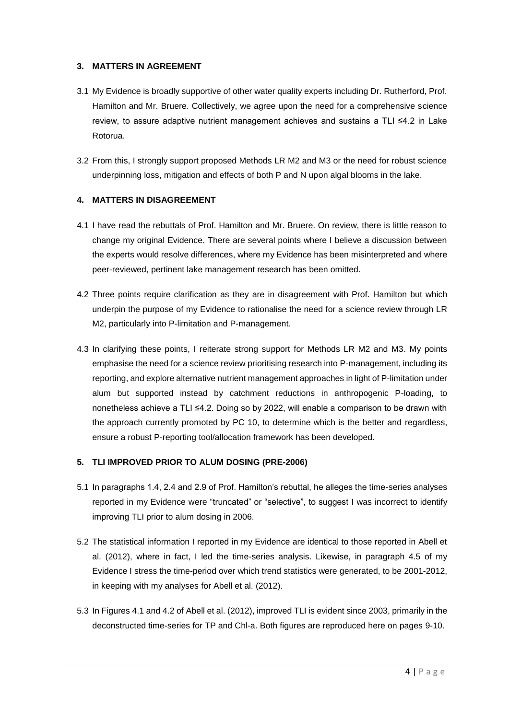#### **3. MATTERS IN AGREEMENT**

- 3.1 My Evidence is broadly supportive of other water quality experts including Dr. Rutherford, Prof. Hamilton and Mr. Bruere. Collectively, we agree upon the need for a comprehensive science review, to assure adaptive nutrient management achieves and sustains a TLI ≤4.2 in Lake Rotorua.
- 3.2 From this, I strongly support proposed Methods LR M2 and M3 or the need for robust science underpinning loss, mitigation and effects of both P and N upon algal blooms in the lake.

# **4. MATTERS IN DISAGREEMENT**

- 4.1 I have read the rebuttals of Prof. Hamilton and Mr. Bruere. On review, there is little reason to change my original Evidence. There are several points where I believe a discussion between the experts would resolve differences, where my Evidence has been misinterpreted and where peer-reviewed, pertinent lake management research has been omitted.
- 4.2 Three points require clarification as they are in disagreement with Prof. Hamilton but which underpin the purpose of my Evidence to rationalise the need for a science review through LR M2, particularly into P-limitation and P-management.
- 4.3 In clarifying these points, I reiterate strong support for Methods LR M2 and M3. My points emphasise the need for a science review prioritising research into P-management, including its reporting, and explore alternative nutrient management approaches in light of P-limitation under alum but supported instead by catchment reductions in anthropogenic P-loading, to nonetheless achieve a TLI ≤4.2. Doing so by 2022, will enable a comparison to be drawn with the approach currently promoted by PC 10, to determine which is the better and regardless, ensure a robust P-reporting tool/allocation framework has been developed.

# **5. TLI IMPROVED PRIOR TO ALUM DOSING (PRE-2006)**

- 5.1 In paragraphs 1.4, 2.4 and 2.9 of Prof. Hamilton's rebuttal, he alleges the time-series analyses reported in my Evidence were "truncated" or "selective", to suggest I was incorrect to identify improving TLI prior to alum dosing in 2006.
- 5.2 The statistical information I reported in my Evidence are identical to those reported in Abell et al. (2012), where in fact, I led the time-series analysis. Likewise, in paragraph 4.5 of my Evidence I stress the time-period over which trend statistics were generated, to be 2001-2012, in keeping with my analyses for Abell et al. (2012).
- 5.3 In Figures 4.1 and 4.2 of Abell et al. (2012), improved TLI is evident since 2003, primarily in the deconstructed time-series for TP and Chl-a. Both figures are reproduced here on pages 9-10.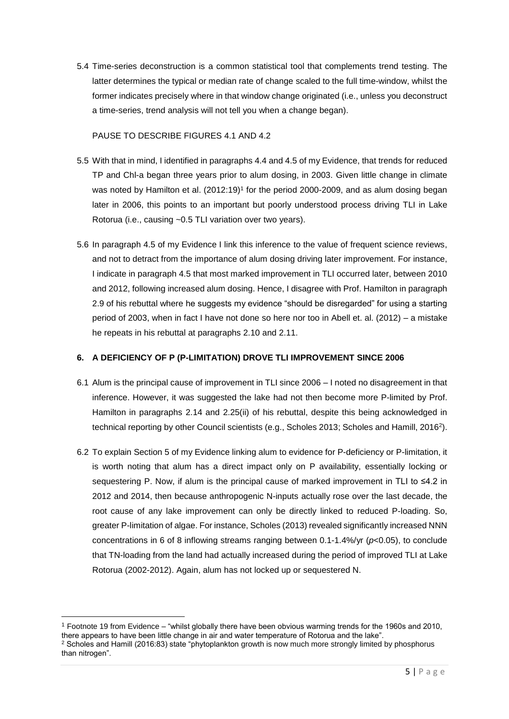5.4 Time-series deconstruction is a common statistical tool that complements trend testing. The latter determines the typical or median rate of change scaled to the full time-window, whilst the former indicates precisely where in that window change originated (i.e., unless you deconstruct a time-series, trend analysis will not tell you when a change began).

PAUSE TO DESCRIBE FIGURES 4.1 AND 4.2

- 5.5 With that in mind, I identified in paragraphs 4.4 and 4.5 of my Evidence, that trends for reduced TP and Chl-a began three years prior to alum dosing, in 2003. Given little change in climate was noted by Hamilton et al. (2012:19) 1 for the period 2000-2009, and as alum dosing began later in 2006, this points to an important but poorly understood process driving TLI in Lake Rotorua (i.e., causing ~0.5 TLI variation over two years).
- 5.6 In paragraph 4.5 of my Evidence I link this inference to the value of frequent science reviews, and not to detract from the importance of alum dosing driving later improvement. For instance, I indicate in paragraph 4.5 that most marked improvement in TLI occurred later, between 2010 and 2012, following increased alum dosing. Hence, I disagree with Prof. Hamilton in paragraph 2.9 of his rebuttal where he suggests my evidence "should be disregarded" for using a starting period of 2003, when in fact I have not done so here nor too in Abell et. al. (2012) – a mistake he repeats in his rebuttal at paragraphs 2.10 and 2.11.

#### **6. A DEFICIENCY OF P (P-LIMITATION) DROVE TLI IMPROVEMENT SINCE 2006**

- 6.1 Alum is the principal cause of improvement in TLI since 2006 I noted no disagreement in that inference. However, it was suggested the lake had not then become more P-limited by Prof. Hamilton in paragraphs 2.14 and 2.25(ii) of his rebuttal, despite this being acknowledged in technical reporting by other Council scientists (e.g., Scholes 2013; Scholes and Hamill, 2016<sup>2</sup> ).
- 6.2 To explain Section 5 of my Evidence linking alum to evidence for P-deficiency or P-limitation, it is worth noting that alum has a direct impact only on P availability, essentially locking or sequestering P. Now, if alum is the principal cause of marked improvement in TLI to ≤4.2 in 2012 and 2014, then because anthropogenic N-inputs actually rose over the last decade, the root cause of any lake improvement can only be directly linked to reduced P-loading. So, greater P-limitation of algae. For instance, Scholes (2013) revealed significantly increased NNN concentrations in 6 of 8 inflowing streams ranging between 0.1-1.4%/yr (*p*<0.05), to conclude that TN-loading from the land had actually increased during the period of improved TLI at Lake Rotorua (2002-2012). Again, alum has not locked up or sequestered N.

**.** 

<sup>1</sup> Footnote 19 from Evidence – "whilst globally there have been obvious warming trends for the 1960s and 2010, there appears to have been little change in air and water temperature of Rotorua and the lake". <sup>2</sup> Scholes and Hamill (2016:83) state "phytoplankton growth is now much more strongly limited by phosphorus

than nitrogen".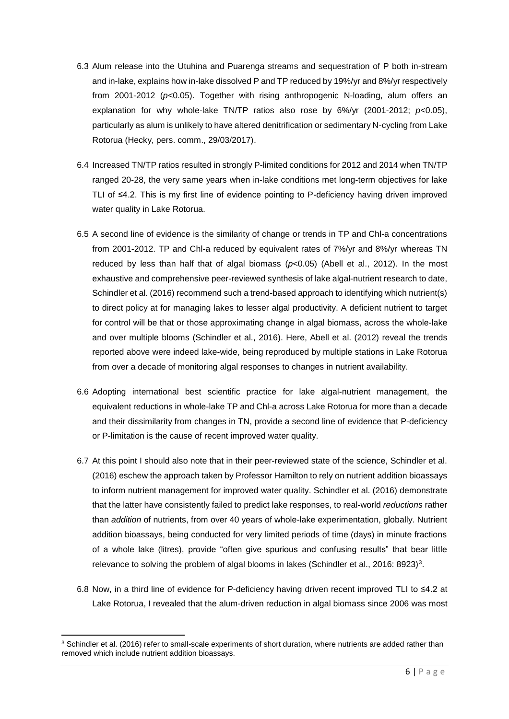- 6.3 Alum release into the Utuhina and Puarenga streams and sequestration of P both in-stream and in-lake, explains how in-lake dissolved P and TP reduced by 19%/yr and 8%/yr respectively from 2001-2012 (*p*<0.05). Together with rising anthropogenic N-loading, alum offers an explanation for why whole-lake TN/TP ratios also rose by 6%/yr (2001-2012; *p*<0.05), particularly as alum is unlikely to have altered denitrification or sedimentary N-cycling from Lake Rotorua (Hecky, pers. comm., 29/03/2017).
- 6.4 Increased TN/TP ratios resulted in strongly P-limited conditions for 2012 and 2014 when TN/TP ranged 20-28, the very same years when in-lake conditions met long-term objectives for lake TLI of ≤4.2. This is my first line of evidence pointing to P-deficiency having driven improved water quality in Lake Rotorua.
- 6.5 A second line of evidence is the similarity of change or trends in TP and Chl-a concentrations from 2001-2012. TP and Chl-a reduced by equivalent rates of 7%/yr and 8%/yr whereas TN reduced by less than half that of algal biomass (*p*<0.05) (Abell et al., 2012). In the most exhaustive and comprehensive peer-reviewed synthesis of lake algal-nutrient research to date, Schindler et al. (2016) recommend such a trend-based approach to identifying which nutrient(s) to direct policy at for managing lakes to lesser algal productivity. A deficient nutrient to target for control will be that or those approximating change in algal biomass, across the whole-lake and over multiple blooms (Schindler et al., 2016). Here, Abell et al. (2012) reveal the trends reported above were indeed lake-wide, being reproduced by multiple stations in Lake Rotorua from over a decade of monitoring algal responses to changes in nutrient availability.
- 6.6 Adopting international best scientific practice for lake algal-nutrient management, the equivalent reductions in whole-lake TP and Chl-a across Lake Rotorua for more than a decade and their dissimilarity from changes in TN, provide a second line of evidence that P-deficiency or P-limitation is the cause of recent improved water quality.
- 6.7 At this point I should also note that in their peer-reviewed state of the science, Schindler et al. (2016) eschew the approach taken by Professor Hamilton to rely on nutrient addition bioassays to inform nutrient management for improved water quality. Schindler et al. (2016) demonstrate that the latter have consistently failed to predict lake responses, to real-world *reductions* rather than *addition* of nutrients, from over 40 years of whole-lake experimentation, globally. Nutrient addition bioassays, being conducted for very limited periods of time (days) in minute fractions of a whole lake (litres), provide "often give spurious and confusing results" that bear little relevance to solving the problem of algal blooms in lakes (Schindler et al., 2016: 8923)<sup>3</sup>.
- 6.8 Now, in a third line of evidence for P-deficiency having driven recent improved TLI to ≤4.2 at Lake Rotorua, I revealed that the alum-driven reduction in algal biomass since 2006 was most

**.** 

<sup>&</sup>lt;sup>3</sup> Schindler et al. (2016) refer to small-scale experiments of short duration, where nutrients are added rather than removed which include nutrient addition bioassays.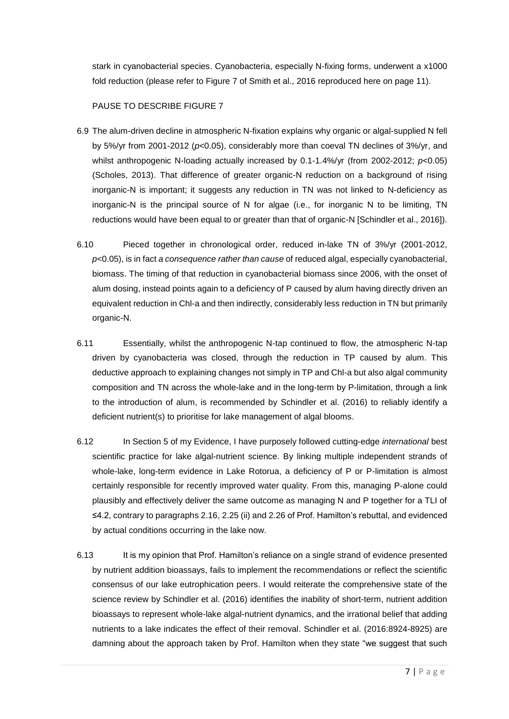stark in cyanobacterial species. Cyanobacteria, especially N-fixing forms, underwent a x1000 fold reduction (please refer to Figure 7 of Smith et al., 2016 reproduced here on page 11).

PAUSE TO DESCRIBE FIGURE 7

- 6.9 The alum-driven decline in atmospheric N-fixation explains why organic or algal-supplied N fell by 5%/yr from 2001-2012 (*p*<0.05), considerably more than coeval TN declines of 3%/yr, and whilst anthropogenic N-loading actually increased by 0.1-1.4%/yr (from 2002-2012; *p*<0.05) (Scholes, 2013). That difference of greater organic-N reduction on a background of rising inorganic-N is important; it suggests any reduction in TN was not linked to N-deficiency as inorganic-N is the principal source of N for algae (i.e., for inorganic N to be limiting, TN reductions would have been equal to or greater than that of organic-N [Schindler et al., 2016]).
- 6.10 Pieced together in chronological order, reduced in-lake TN of 3%/yr (2001-2012, *p*<0.05), is in fact *a consequence rather than cause* of reduced algal, especially cyanobacterial, biomass. The timing of that reduction in cyanobacterial biomass since 2006, with the onset of alum dosing, instead points again to a deficiency of P caused by alum having directly driven an equivalent reduction in Chl-a and then indirectly, considerably less reduction in TN but primarily organic-N.
- 6.11 Essentially, whilst the anthropogenic N-tap continued to flow, the atmospheric N-tap driven by cyanobacteria was closed, through the reduction in TP caused by alum. This deductive approach to explaining changes not simply in TP and Chl-a but also algal community composition and TN across the whole-lake and in the long-term by P-limitation, through a link to the introduction of alum, is recommended by Schindler et al. (2016) to reliably identify a deficient nutrient(s) to prioritise for lake management of algal blooms.
- 6.12 In Section 5 of my Evidence, I have purposely followed cutting-edge *international* best scientific practice for lake algal-nutrient science. By linking multiple independent strands of whole-lake, long-term evidence in Lake Rotorua, a deficiency of P or P-limitation is almost certainly responsible for recently improved water quality. From this, managing P-alone could plausibly and effectively deliver the same outcome as managing N and P together for a TLI of ≤4.2, contrary to paragraphs 2.16, 2.25 (ii) and 2.26 of Prof. Hamilton's rebuttal, and evidenced by actual conditions occurring in the lake now.
- 6.13 It is my opinion that Prof. Hamilton's reliance on a single strand of evidence presented by nutrient addition bioassays, fails to implement the recommendations or reflect the scientific consensus of our lake eutrophication peers. I would reiterate the comprehensive state of the science review by Schindler et al. (2016) identifies the inability of short-term, nutrient addition bioassays to represent whole-lake algal-nutrient dynamics, and the irrational belief that adding nutrients to a lake indicates the effect of their removal. Schindler et al. (2016:8924-8925) are damning about the approach taken by Prof. Hamilton when they state "we suggest that such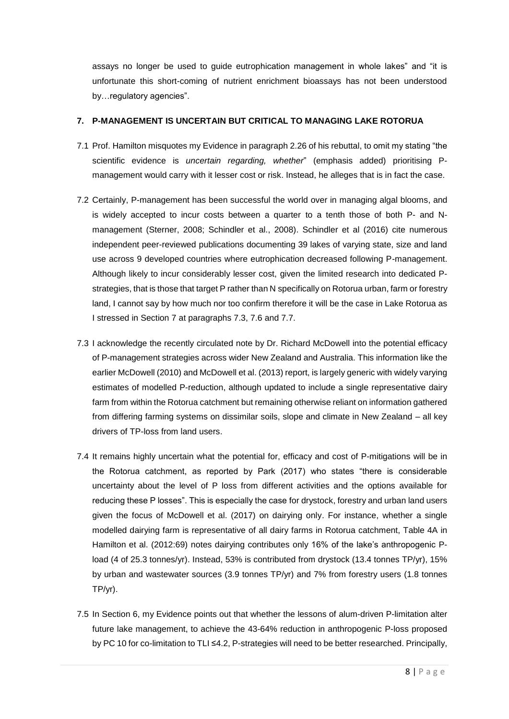assays no longer be used to guide eutrophication management in whole lakes" and "it is unfortunate this short-coming of nutrient enrichment bioassays has not been understood by…regulatory agencies".

#### **7. P-MANAGEMENT IS UNCERTAIN BUT CRITICAL TO MANAGING LAKE ROTORUA**

- 7.1 Prof. Hamilton misquotes my Evidence in paragraph 2.26 of his rebuttal, to omit my stating "the scientific evidence is *uncertain regarding, whether*" (emphasis added) prioritising Pmanagement would carry with it lesser cost or risk. Instead, he alleges that is in fact the case.
- 7.2 Certainly, P-management has been successful the world over in managing algal blooms, and is widely accepted to incur costs between a quarter to a tenth those of both P- and Nmanagement (Sterner, 2008; Schindler et al., 2008). Schindler et al (2016) cite numerous independent peer-reviewed publications documenting 39 lakes of varying state, size and land use across 9 developed countries where eutrophication decreased following P-management. Although likely to incur considerably lesser cost, given the limited research into dedicated Pstrategies, that is those that target P rather than N specifically on Rotorua urban, farm or forestry land, I cannot say by how much nor too confirm therefore it will be the case in Lake Rotorua as I stressed in Section 7 at paragraphs 7.3, 7.6 and 7.7.
- 7.3 I acknowledge the recently circulated note by Dr. Richard McDowell into the potential efficacy of P-management strategies across wider New Zealand and Australia. This information like the earlier McDowell (2010) and McDowell et al. (2013) report, is largely generic with widely varying estimates of modelled P-reduction, although updated to include a single representative dairy farm from within the Rotorua catchment but remaining otherwise reliant on information gathered from differing farming systems on dissimilar soils, slope and climate in New Zealand – all key drivers of TP-loss from land users.
- 7.4 It remains highly uncertain what the potential for, efficacy and cost of P-mitigations will be in the Rotorua catchment, as reported by Park (2017) who states "there is considerable uncertainty about the level of P loss from different activities and the options available for reducing these P losses". This is especially the case for drystock, forestry and urban land users given the focus of McDowell et al. (2017) on dairying only. For instance, whether a single modelled dairying farm is representative of all dairy farms in Rotorua catchment, Table 4A in Hamilton et al. (2012:69) notes dairying contributes only 16% of the lake's anthropogenic Pload (4 of 25.3 tonnes/yr). Instead, 53% is contributed from drystock (13.4 tonnes TP/yr), 15% by urban and wastewater sources (3.9 tonnes TP/yr) and 7% from forestry users (1.8 tonnes TP/yr).
- 7.5 In Section 6, my Evidence points out that whether the lessons of alum-driven P-limitation alter future lake management, to achieve the 43-64% reduction in anthropogenic P-loss proposed by PC 10 for co-limitation to TLI ≤4.2, P-strategies will need to be better researched. Principally,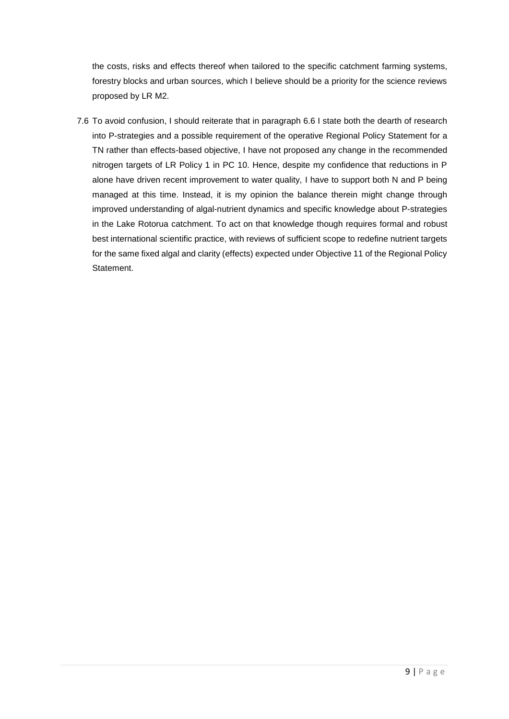the costs, risks and effects thereof when tailored to the specific catchment farming systems, forestry blocks and urban sources, which I believe should be a priority for the science reviews proposed by LR M2.

7.6 To avoid confusion, I should reiterate that in paragraph 6.6 I state both the dearth of research into P-strategies and a possible requirement of the operative Regional Policy Statement for a TN rather than effects-based objective, I have not proposed any change in the recommended nitrogen targets of LR Policy 1 in PC 10. Hence, despite my confidence that reductions in P alone have driven recent improvement to water quality, I have to support both N and P being managed at this time. Instead, it is my opinion the balance therein might change through improved understanding of algal-nutrient dynamics and specific knowledge about P-strategies in the Lake Rotorua catchment. To act on that knowledge though requires formal and robust best international scientific practice, with reviews of sufficient scope to redefine nutrient targets for the same fixed algal and clarity (effects) expected under Objective 11 of the Regional Policy Statement.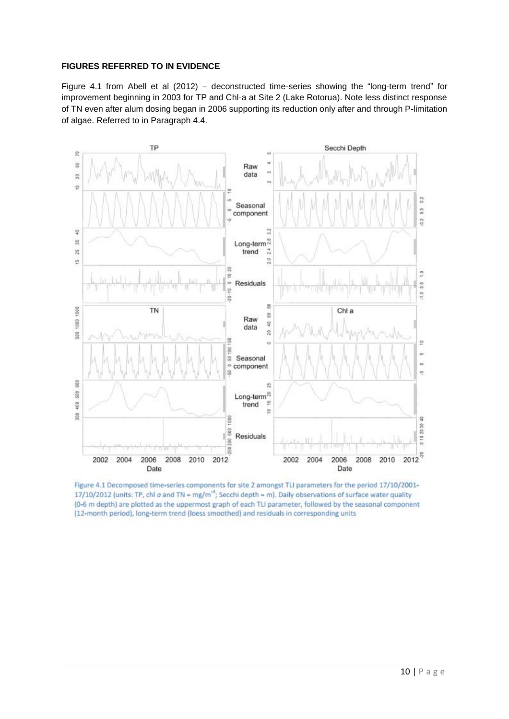## **FIGURES REFERRED TO IN EVIDENCE**

Figure 4.1 from Abell et al (2012) – deconstructed time-series showing the "long-term trend" for improvement beginning in 2003 for TP and Chl-a at Site 2 (Lake Rotorua). Note less distinct response of TN even after alum dosing began in 2006 supporting its reduction only after and through P-limitation of algae. Referred to in Paragraph 4.4.



Figure 4.1 Decomposed time-series components for site 2 amongst TLI parameters for the period 17/10/2001-17/10/2012 (units: TP, chl a and TN = mg/m<sup>-3</sup>; Secchi depth = m). Daily observations of surface water quality (0-6 m depth) are plotted as the uppermost graph of each TLI parameter, followed by the seasonal component (12-month period), long-term trend (loess smoothed) and residuals in corresponding units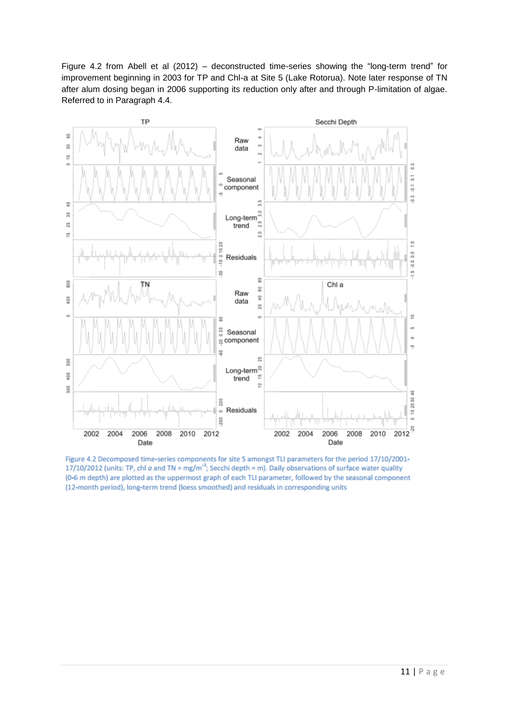Figure 4.2 from Abell et al (2012) – deconstructed time-series showing the "long-term trend" for improvement beginning in 2003 for TP and Chl-a at Site 5 (Lake Rotorua). Note later response of TN after alum dosing began in 2006 supporting its reduction only after and through P-limitation of algae. Referred to in Paragraph 4.4.



Figure 4.2 Decomposed time-series components for site 5 amongst TLI parameters for the period 17/10/2001-17/10/2012 (units: TP, chl  $\alpha$  and TN = mg/m<sup>-3</sup>; Secchi depth = m). Daily observations of surface water quality (0-6 m depth) are plotted as the uppermost graph of each TLI parameter, followed by the seasonal component (12-month period), long-term trend (loess smoothed) and residuals in corresponding units